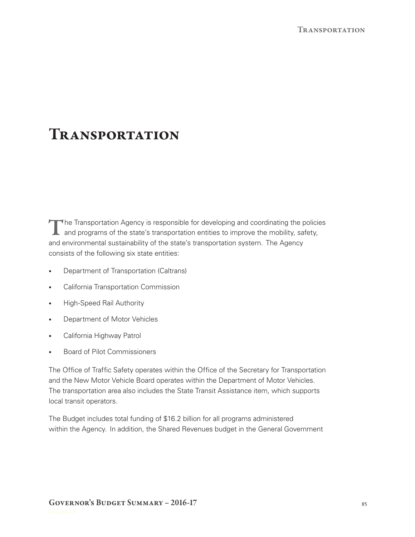# **TRANSPORTATION**

The Transportation Agency is responsible for developing and coordinating the policies and programs of the state's transportation entities to improve the mobility, safety, and environmental sustainability of the state's transportation system. The Agency consists of the following six state entities:

- • Department of Transportation (Caltrans)
- • California Transportation Commission
- High-Speed Rail Authority
- • Department of Motor Vehicles
- • California Highway Patrol
- • Board of Pilot Commissioners

The Office of Traffic Safety operates within the Office of the Secretary for Transportation and the New Motor Vehicle Board operates within the Department of Motor Vehicles. The transportation area also includes the State Transit Assistance item, which supports local transit operators.

The Budget includes total funding of \$16.2 billion for all programs administered within the Agency. In addition, the Shared Revenues budget in the General Government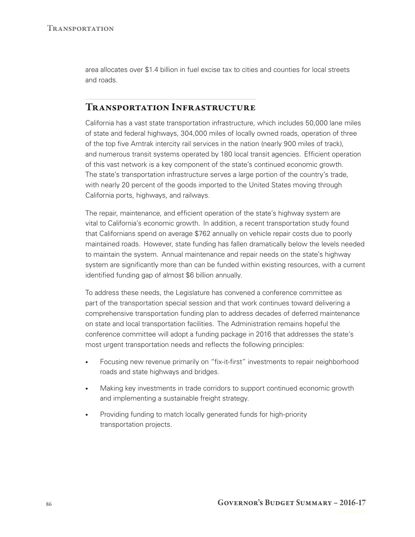area allocates over \$1.4 billion in fuel excise tax to cities and counties for local streets and roads.

## Transportation Infrastructure

California has a vast state transportation infrastructure, which includes 50,000 lane miles of state and federal highways, 304,000 miles of locally owned roads, operation of three of the top five Amtrak intercity rail services in the nation (nearly 900 miles of track), and numerous transit systems operated by 180 local transit agencies. Efficient operation of this vast network is a key component of the state's continued economic growth. The state's transportation infrastructure serves a large portion of the country's trade, with nearly 20 percent of the goods imported to the United States moving through California ports, highways, and railways.

The repair, maintenance, and efficient operation of the state's highway system are vital to California's economic growth. In addition, a recent transportation study found that Californians spend on average \$762 annually on vehicle repair costs due to poorly maintained roads. However, state funding has fallen dramatically below the levels needed to maintain the system. Annual maintenance and repair needs on the state's highway system are significantly more than can be funded within existing resources, with a current identified funding gap of almost \$6 billion annually.

To address these needs, the Legislature has convened a conference committee as part of the transportation special session and that work continues toward delivering a comprehensive transportation funding plan to address decades of deferred maintenance on state and local transportation facilities. The Administration remains hopeful the conference committee will adopt a funding package in 2016 that addresses the state's most urgent transportation needs and reflects the following principles:

- Focusing new revenue primarily on "fix-it-first" investments to repair neighborhood roads and state highways and bridges.
- Making key investments in trade corridors to support continued economic growth and implementing a sustainable freight strategy.
- Providing funding to match locally generated funds for high-priority transportation projects.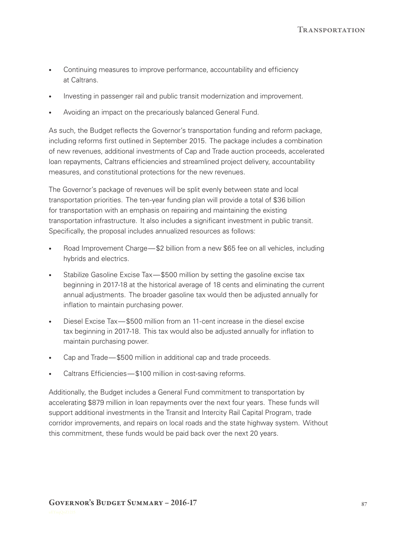- Continuing measures to improve performance, accountability and efficiency at Caltrans.
- Investing in passenger rail and public transit modernization and improvement.
- Avoiding an impact on the precariously balanced General Fund.

As such, the Budget reflects the Governor's transportation funding and reform package, including reforms first outlined in September 2015. The package includes a combination of new revenues, additional investments of Cap and Trade auction proceeds, accelerated loan repayments, Caltrans efficiencies and streamlined project delivery, accountability measures, and constitutional protections for the new revenues.

The Governor's package of revenues will be split evenly between state and local transportation priorities. The ten-year funding plan will provide a total of \$36 billion for transportation with an emphasis on repairing and maintaining the existing transportation infrastructure. It also includes a significant investment in public transit. Specifically, the proposal includes annualized resources as follows:

- Road Improvement Charge— \$2 billion from a new \$65 fee on all vehicles, including hybrids and electrics.
- Stabilize Gasoline Excise Tax—\$500 million by setting the gasoline excise tax beginning in 2017‑18 at the historical average of 18 cents and eliminating the current annual adjustments. The broader gasoline tax would then be adjusted annually for inflation to maintain purchasing power.
- Diesel Excise Tax—\$500 million from an 11-cent increase in the diesel excise tax beginning in 2017‑18. This tax would also be adjusted annually for inflation to maintain purchasing power.
- Cap and Trade—\$500 million in additional cap and trade proceeds.
- Caltrans Efficiencies—\$100 million in cost-saving reforms.

Additionally, the Budget includes a General Fund commitment to transportation by accelerating \$879 million in loan repayments over the next four years. These funds will support additional investments in the Transit and Intercity Rail Capital Program, trade corridor improvements, and repairs on local roads and the state highway system. Without this commitment, these funds would be paid back over the next 20 years.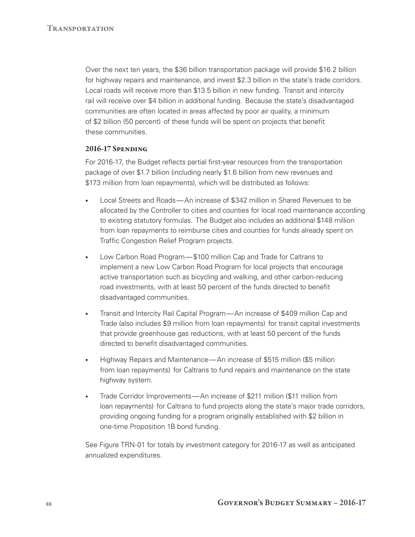Over the next ten years, the \$36 billion transportation package will provide \$16.2 billion for highway repairs and maintenance, and invest \$2.3 billion in the state's trade corridors. Local roads will receive more than \$13.5 billion in new funding. Transit and intercity rail will receive over \$4 billion in additional funding. Because the state's disadvantaged communities are often located in areas affected by poor air quality, a minimum of \$2 billion (50 percent) of these funds will be spent on projects that benefit these communities.

#### 2016-17 Spending

For 2016-17, the Budget reflects partial first-year resources from the transportation package of over \$1.7 billion (including nearly \$1.6 billion from new revenues and \$173 million from loan repayments), which will be distributed as follows:

- Local Streets and Roads—An increase of \$342 million in Shared Revenues to be allocated by the Controller to cities and counties for local road maintenance according to existing statutory formulas. The Budget also includes an additional \$148 million from loan repayments to reimburse cities and counties for funds already spent on Traffic Congestion Relief Program projects.
- Low Carbon Road Program—\$100 million Cap and Trade for Caltrans to implement a new Low Carbon Road Program for local projects that encourage active transportation such as bicycling and walking, and other carbon-reducing road investments, with at least 50 percent of the funds directed to benefit disadvantaged communities.
- Transit and Intercity Rail Capital Program— An increase of \$409 million Cap and Trade (also includes \$9 million from loan repayments) for transit capital investments that provide greenhouse gas reductions, with at least 50 percent of the funds directed to benefit disadvantaged communities.
- Highway Repairs and Maintenance— An increase of \$515 million (\$5 million from loan repayments) for Caltrans to fund repairs and maintenance on the state highway system.
- Trade Corridor Improvements—An increase of \$211 million (\$11 million from loan repayments) for Caltrans to fund projects along the state's major trade corridors, providing ongoing funding for a program originally established with \$2 billion in one-time Proposition 1B bond funding.

See Figure TRN-01 for totals by investment category for 2016-17 as well as anticipated annualized expenditures.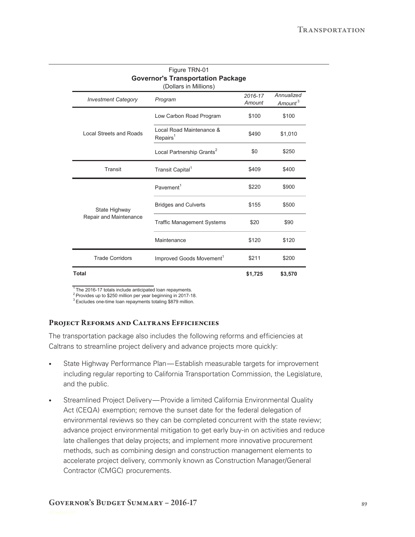| Figure TRN-01<br><b>Governor's Transportation Package</b><br>(Dollars in Millions) |                                                  |                   |                                   |  |
|------------------------------------------------------------------------------------|--------------------------------------------------|-------------------|-----------------------------------|--|
| <b>Investment Category</b>                                                         | Program                                          | 2016-17<br>Amount | Annualized<br>Amount <sup>3</sup> |  |
| Local Streets and Roads                                                            | Low Carbon Road Program                          | \$100             | \$100                             |  |
|                                                                                    | Local Road Maintenance &<br>Repairs <sup>1</sup> | \$490             | \$1,010                           |  |
|                                                                                    | Local Partnership Grants <sup>2</sup>            | \$0               | \$250                             |  |
| Transit                                                                            | Transit Capital <sup>1</sup>                     | \$409             | \$400                             |  |
| State Highway<br>Repair and Maintenance                                            | Pavement <sup>1</sup>                            | \$220             | \$900                             |  |
|                                                                                    | <b>Bridges and Culverts</b>                      | \$155             | \$500                             |  |
|                                                                                    | <b>Traffic Management Systems</b>                | \$20              | \$90                              |  |
|                                                                                    | Maintenance                                      | \$120             | \$120                             |  |
| <b>Trade Corridors</b>                                                             | Improved Goods Movement <sup>1</sup>             | \$211             | \$200                             |  |
| <b>Total</b>                                                                       |                                                  | \$1,725           | \$3,570                           |  |

 $1$  The 2016-17 totals include anticipated loan repayments.

2 Provides up to \$250 million per year beginning in 2017-18.

<sup>3</sup> Excludes one-time loan repayments totaling \$879 million.

#### Project Reforms and Caltrans Efficiencies

The transportation package also includes the following reforms and efficiencies at Caltrans to streamline project delivery and advance projects more quickly:

- State Highway Performance Plan— Establish measurable targets for improvement including regular reporting to California Transportation Commission, the Legislature, and the public.
- Streamlined Project Delivery— Provide a limited California Environmental Quality Act (CEQA) exemption; remove the sunset date for the federal delegation of environmental reviews so they can be completed concurrent with the state review; advance project environmental mitigation to get early buy‑in on activities and reduce late challenges that delay projects; and implement more innovative procurement methods, such as combining design and construction management elements to accelerate project delivery, commonly known as Construction Manager/General Contractor (CMGC) procurements.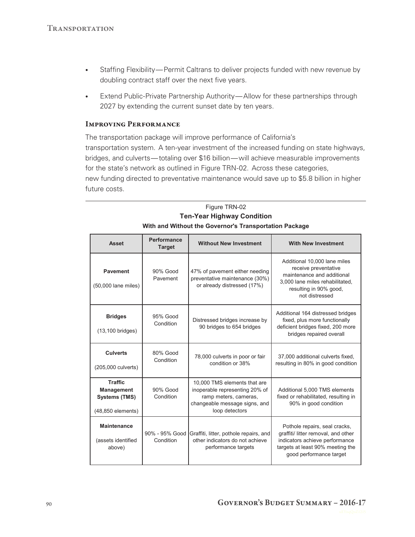- Staffing Flexibility— Permit Caltrans to deliver projects funded with new revenue by doubling contract staff over the next five years.
- Extend Public-Private Partnership Authority—Allow for these partnerships through 2027 by extending the current sunset date by ten years.

#### Improving Performance

The transportation package will improve performance of California's transportation system. A ten‑year investment of the increased funding on state highways, bridges, and culverts— totaling over \$16 billion— will achieve measurable improvements for the state's network as outlined in Figure TRN-02. Across these categories, new funding directed to preventative maintenance would save up to \$5.8 billion in higher future costs.

### Figure TRN-02 **Ten-Year Highway Condition With and Without the Governor's Transportation Package**

| <b>Asset</b>                                                                     | Performance<br><b>Target</b> | <b>Without New Investment</b>                                                                                                              | <b>With New Investment</b>                                                                                                                                            |
|----------------------------------------------------------------------------------|------------------------------|--------------------------------------------------------------------------------------------------------------------------------------------|-----------------------------------------------------------------------------------------------------------------------------------------------------------------------|
| <b>Pavement</b><br>(50,000 lane miles)                                           | 90% Good<br>Pavement         | 47% of pavement either needing<br>preventative maintenance (30%)<br>or already distressed (17%)                                            | Additional 10,000 lane miles<br>receive preventative<br>maintenance and additional<br>3,000 lane miles rehabilitated,<br>resulting in 90% good,<br>not distressed     |
| <b>Bridges</b><br>$(13, 100$ bridges)                                            | 95% Good<br>Condition        | Distressed bridges increase by<br>90 bridges to 654 bridges                                                                                | Additional 164 distressed bridges<br>fixed, plus more functionally<br>deficient bridges fixed, 200 more<br>bridges repaired overall                                   |
| <b>Culverts</b><br>(205,000 culverts)                                            | 80% Good<br>Condition        | 78,000 culverts in poor or fair<br>condition or 38%                                                                                        | 37,000 additional culverts fixed,<br>resulting in 80% in good condition                                                                                               |
| <b>Traffic</b><br><b>Management</b><br><b>Systems (TMS)</b><br>(48,850 elements) | 90% Good<br>Condition        | 10,000 TMS elements that are<br>inoperable representing 20% of<br>ramp meters, cameras,<br>changeable message signs, and<br>loop detectors | Additional 5,000 TMS elements<br>fixed or rehabilitated, resulting in<br>90% in good condition                                                                        |
| <b>Maintenance</b><br>(assets identified<br>above)                               | 90% - 95% Good<br>Condition  | Graffiti, litter, pothole repairs, and<br>other indicators do not achieve<br>performance targets                                           | Pothole repairs, seal cracks,<br>graffiti/ litter removal, and other<br>indicators achieve performance<br>targets at least 90% meeting the<br>good performance target |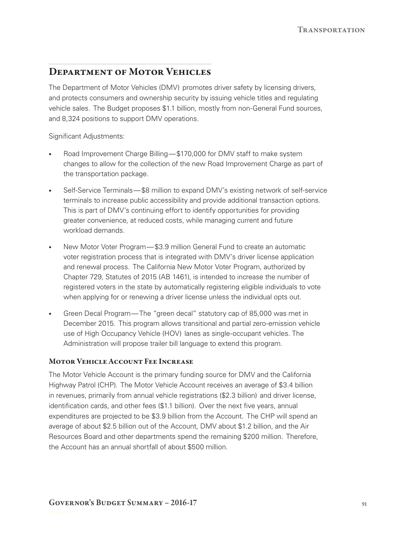# Department of Motor Vehicles

The Department of Motor Vehicles (DMV) promotes driver safety by licensing drivers, and protects consumers and ownership security by issuing vehicle titles and regulating vehicle sales. The Budget proposes \$1.1 billion, mostly from non-General Fund sources, and 8,324 positions to support DMV operations.

Significant Adjustments:

- Road Improvement Charge Billing—\$170,000 for DMV staff to make system changes to allow for the collection of the new Road Improvement Charge as part of the transportation package.
- Self-Service Terminals—\$8 million to expand DMV's existing network of self-service terminals to increase public accessibility and provide additional transaction options. This is part of DMV's continuing effort to identify opportunities for providing greater convenience, at reduced costs, while managing current and future workload demands.
- New Motor Voter Program— \$3.9 million General Fund to create an automatic voter registration process that is integrated with DMV's driver license application and renewal process. The California New Motor Voter Program, authorized by Chapter 729, Statutes of 2015 (AB 1461), is intended to increase the number of registered voters in the state by automatically registering eligible individuals to vote when applying for or renewing a driver license unless the individual opts out.
- Green Decal Program— The "green decal" statutory cap of 85,000 was met in December 2015. This program allows transitional and partial zero-emission vehicle use of High Occupancy Vehicle (HOV) lanes as single‑occupant vehicles. The Administration will propose trailer bill language to extend this program.

## Motor Vehicle Account Fee Increase

The Motor Vehicle Account is the primary funding source for DMV and the California Highway Patrol (CHP). The Motor Vehicle Account receives an average of \$3.4 billion in revenues, primarily from annual vehicle registrations (\$2.3 billion) and driver license, identification cards, and other fees (\$1.1 billion). Over the next five years, annual expenditures are projected to be \$3.9 billion from the Account. The CHP will spend an average of about \$2.5 billion out of the Account, DMV about \$1.2 billion, and the Air Resources Board and other departments spend the remaining \$200 million. Therefore, the Account has an annual shortfall of about \$500 million.